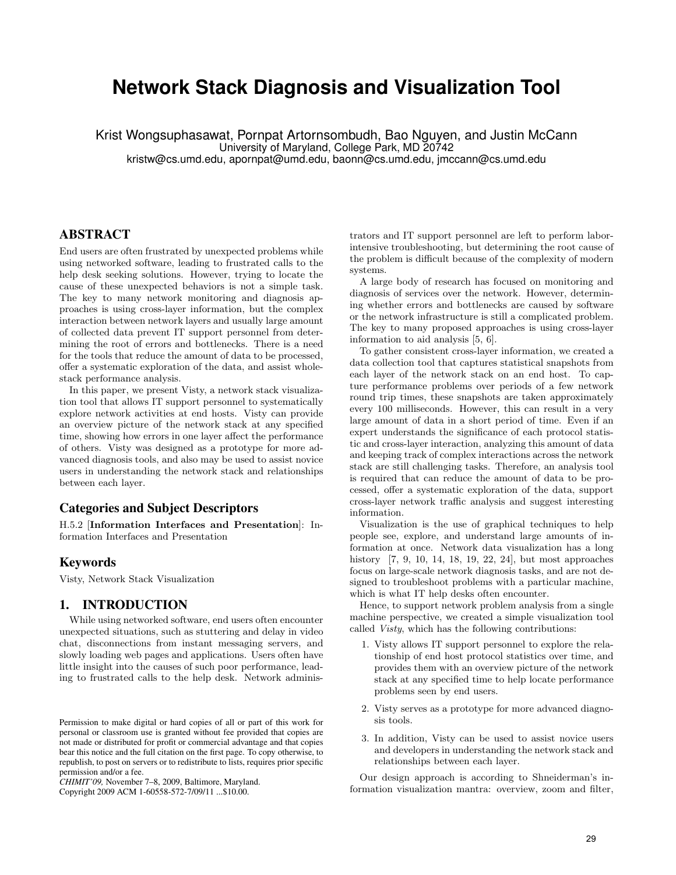# **Network Stack Diagnosis and Visualization Tool**

Krist Wongsuphasawat, Pornpat Artornsombudh, Bao Nguyen, and Justin McCann University of Maryland, College Park, MD 20742 kristw@cs.umd.edu, apornpat@umd.edu, baonn@cs.umd.edu, jmccann@cs.umd.edu

ABSTRACT

End users are often frustrated by unexpected problems while using networked software, leading to frustrated calls to the help desk seeking solutions. However, trying to locate the cause of these unexpected behaviors is not a simple task. The key to many network monitoring and diagnosis approaches is using cross-layer information, but the complex interaction between network layers and usually large amount of collected data prevent IT support personnel from determining the root of errors and bottlenecks. There is a need for the tools that reduce the amount of data to be processed, offer a systematic exploration of the data, and assist wholestack performance analysis.

In this paper, we present Visty, a network stack visualization tool that allows IT support personnel to systematically explore network activities at end hosts. Visty can provide an overview picture of the network stack at any specified time, showing how errors in one layer affect the performance of others. Visty was designed as a prototype for more advanced diagnosis tools, and also may be used to assist novice users in understanding the network stack and relationships between each layer.

# Categories and Subject Descriptors

H.5.2 [Information Interfaces and Presentation]: Information Interfaces and Presentation

# Keywords

Visty, Network Stack Visualization

# 1. INTRODUCTION

While using networked software, end users often encounter unexpected situations, such as stuttering and delay in video chat, disconnections from instant messaging servers, and slowly loading web pages and applications. Users often have little insight into the causes of such poor performance, leading to frustrated calls to the help desk. Network adminis-

*CHIMIT'09,* November 7–8, 2009, Baltimore, Maryland.

Copyright 2009 ACM 1-60558-572-7/09/11 ...\$10.00.

trators and IT support personnel are left to perform laborintensive troubleshooting, but determining the root cause of the problem is difficult because of the complexity of modern systems.

A large body of research has focused on monitoring and diagnosis of services over the network. However, determining whether errors and bottlenecks are caused by software or the network infrastructure is still a complicated problem. The key to many proposed approaches is using cross-layer information to aid analysis [5, 6].

To gather consistent cross-layer information, we created a data collection tool that captures statistical snapshots from each layer of the network stack on an end host. To capture performance problems over periods of a few network round trip times, these snapshots are taken approximately every 100 milliseconds. However, this can result in a very large amount of data in a short period of time. Even if an expert understands the significance of each protocol statistic and cross-layer interaction, analyzing this amount of data and keeping track of complex interactions across the network stack are still challenging tasks. Therefore, an analysis tool is required that can reduce the amount of data to be processed, offer a systematic exploration of the data, support cross-layer network traffic analysis and suggest interesting information.

Visualization is the use of graphical techniques to help people see, explore, and understand large amounts of information at once. Network data visualization has a long history [7, 9, 10, 14, 18, 19, 22, 24], but most approaches focus on large-scale network diagnosis tasks, and are not designed to troubleshoot problems with a particular machine, which is what IT help desks often encounter.

Hence, to support network problem analysis from a single machine perspective, we created a simple visualization tool called Visty, which has the following contributions:

- 1. Visty allows IT support personnel to explore the relationship of end host protocol statistics over time, and provides them with an overview picture of the network stack at any specified time to help locate performance problems seen by end users.
- 2. Visty serves as a prototype for more advanced diagnosis tools.
- 3. In addition, Visty can be used to assist novice users and developers in understanding the network stack and relationships between each layer.

Our design approach is according to Shneiderman's information visualization mantra: overview, zoom and filter,

Permission to make digital or hard copies of all or part of this work for personal or classroom use is granted without fee provided that copies are not made or distributed for profit or commercial advantage and that copies bear this notice and the full citation on the first page. To copy otherwise, to republish, to post on servers or to redistribute to lists, requires prior specific permission and/or a fee.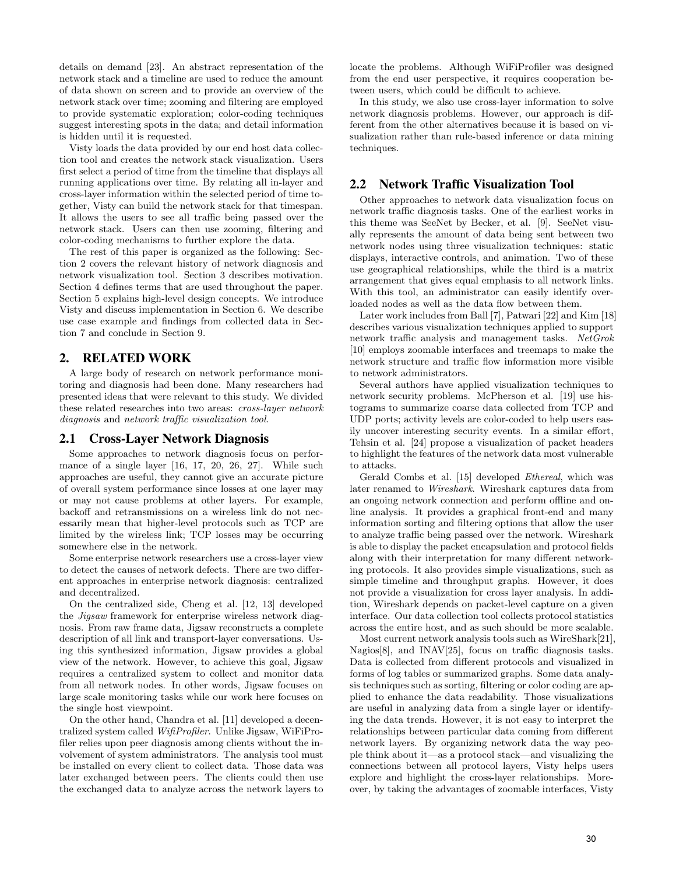details on demand [23]. An abstract representation of the network stack and a timeline are used to reduce the amount of data shown on screen and to provide an overview of the network stack over time; zooming and filtering are employed to provide systematic exploration; color-coding techniques suggest interesting spots in the data; and detail information is hidden until it is requested.

Visty loads the data provided by our end host data collection tool and creates the network stack visualization. Users first select a period of time from the timeline that displays all running applications over time. By relating all in-layer and cross-layer information within the selected period of time together, Visty can build the network stack for that timespan. It allows the users to see all traffic being passed over the network stack. Users can then use zooming, filtering and color-coding mechanisms to further explore the data.

The rest of this paper is organized as the following: Section 2 covers the relevant history of network diagnosis and network visualization tool. Section 3 describes motivation. Section 4 defines terms that are used throughout the paper. Section 5 explains high-level design concepts. We introduce Visty and discuss implementation in Section 6. We describe use case example and findings from collected data in Section 7 and conclude in Section 9.

# 2. RELATED WORK

A large body of research on network performance monitoring and diagnosis had been done. Many researchers had presented ideas that were relevant to this study. We divided these related researches into two areas: cross-layer network diagnosis and network traffic visualization tool.

#### 2.1 Cross-Layer Network Diagnosis

Some approaches to network diagnosis focus on performance of a single layer [16, 17, 20, 26, 27]. While such approaches are useful, they cannot give an accurate picture of overall system performance since losses at one layer may or may not cause problems at other layers. For example, backoff and retransmissions on a wireless link do not necessarily mean that higher-level protocols such as TCP are limited by the wireless link; TCP losses may be occurring somewhere else in the network.

Some enterprise network researchers use a cross-layer view to detect the causes of network defects. There are two different approaches in enterprise network diagnosis: centralized and decentralized.

On the centralized side, Cheng et al. [12, 13] developed the Jigsaw framework for enterprise wireless network diagnosis. From raw frame data, Jigsaw reconstructs a complete description of all link and transport-layer conversations. Using this synthesized information, Jigsaw provides a global view of the network. However, to achieve this goal, Jigsaw requires a centralized system to collect and monitor data from all network nodes. In other words, Jigsaw focuses on large scale monitoring tasks while our work here focuses on the single host viewpoint.

On the other hand, Chandra et al. [11] developed a decentralized system called WifiProfiler. Unlike Jigsaw, WiFiProfiler relies upon peer diagnosis among clients without the involvement of system administrators. The analysis tool must be installed on every client to collect data. Those data was later exchanged between peers. The clients could then use the exchanged data to analyze across the network layers to locate the problems. Although WiFiProfiler was designed from the end user perspective, it requires cooperation between users, which could be difficult to achieve.

In this study, we also use cross-layer information to solve network diagnosis problems. However, our approach is different from the other alternatives because it is based on visualization rather than rule-based inference or data mining techniques.

#### 2.2 Network Traffic Visualization Tool

Other approaches to network data visualization focus on network traffic diagnosis tasks. One of the earliest works in this theme was SeeNet by Becker, et al. [9]. SeeNet visually represents the amount of data being sent between two network nodes using three visualization techniques: static displays, interactive controls, and animation. Two of these use geographical relationships, while the third is a matrix arrangement that gives equal emphasis to all network links. With this tool, an administrator can easily identify overloaded nodes as well as the data flow between them.

Later work includes from Ball [7], Patwari [22] and Kim [18] describes various visualization techniques applied to support network traffic analysis and management tasks. NetGrok [10] employs zoomable interfaces and treemaps to make the network structure and traffic flow information more visible to network administrators.

Several authors have applied visualization techniques to network security problems. McPherson et al. [19] use histograms to summarize coarse data collected from TCP and UDP ports; activity levels are color-coded to help users easily uncover interesting security events. In a similar effort, Tehsin et al. [24] propose a visualization of packet headers to highlight the features of the network data most vulnerable to attacks.

Gerald Combs et al. [15] developed Ethereal, which was later renamed to Wireshark. Wireshark captures data from an ongoing network connection and perform offline and online analysis. It provides a graphical front-end and many information sorting and filtering options that allow the user to analyze traffic being passed over the network. Wireshark is able to display the packet encapsulation and protocol fields along with their interpretation for many different networking protocols. It also provides simple visualizations, such as simple timeline and throughput graphs. However, it does not provide a visualization for cross layer analysis. In addition, Wireshark depends on packet-level capture on a given interface. Our data collection tool collects protocol statistics across the entire host, and as such should be more scalable.

Most current network analysis tools such as WireShark[21], Nagios[8], and INAV[25], focus on traffic diagnosis tasks. Data is collected from different protocols and visualized in forms of log tables or summarized graphs. Some data analysis techniques such as sorting, filtering or color coding are applied to enhance the data readability. Those visualizations are useful in analyzing data from a single layer or identifying the data trends. However, it is not easy to interpret the relationships between particular data coming from different network layers. By organizing network data the way people think about it—as a protocol stack—and visualizing the connections between all protocol layers, Visty helps users explore and highlight the cross-layer relationships. Moreover, by taking the advantages of zoomable interfaces, Visty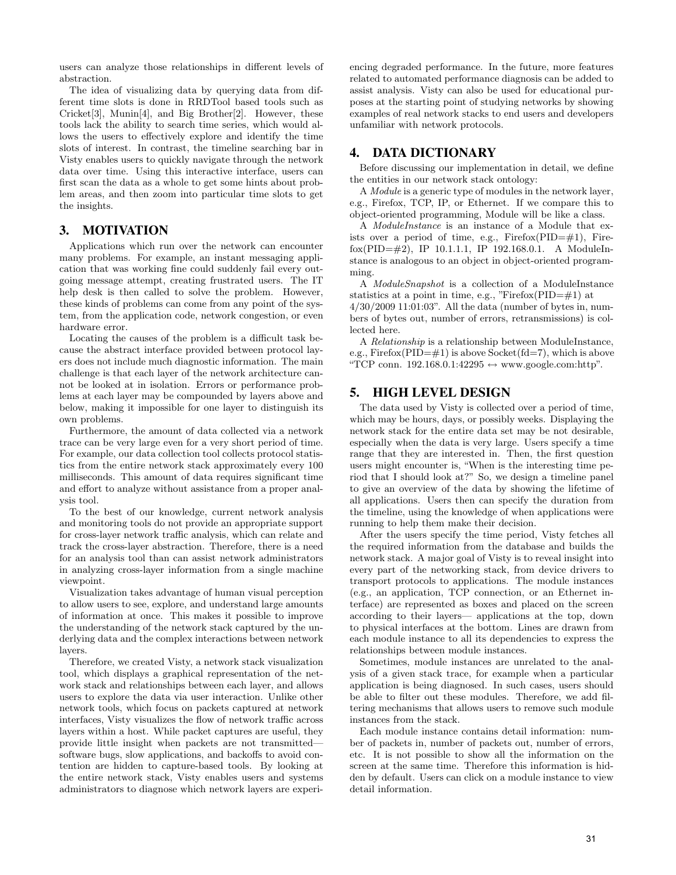users can analyze those relationships in different levels of abstraction.

The idea of visualizing data by querying data from different time slots is done in RRDTool based tools such as Cricket[3], Munin[4], and Big Brother[2]. However, these tools lack the ability to search time series, which would allows the users to effectively explore and identify the time slots of interest. In contrast, the timeline searching bar in Visty enables users to quickly navigate through the network data over time. Using this interactive interface, users can first scan the data as a whole to get some hints about problem areas, and then zoom into particular time slots to get the insights.

# 3. MOTIVATION

Applications which run over the network can encounter many problems. For example, an instant messaging application that was working fine could suddenly fail every outgoing message attempt, creating frustrated users. The IT help desk is then called to solve the problem. However, these kinds of problems can come from any point of the system, from the application code, network congestion, or even hardware error.

Locating the causes of the problem is a difficult task because the abstract interface provided between protocol layers does not include much diagnostic information. The main challenge is that each layer of the network architecture cannot be looked at in isolation. Errors or performance problems at each layer may be compounded by layers above and below, making it impossible for one layer to distinguish its own problems.

Furthermore, the amount of data collected via a network trace can be very large even for a very short period of time. For example, our data collection tool collects protocol statistics from the entire network stack approximately every 100 milliseconds. This amount of data requires significant time and effort to analyze without assistance from a proper analysis tool.

To the best of our knowledge, current network analysis and monitoring tools do not provide an appropriate support for cross-layer network traffic analysis, which can relate and track the cross-layer abstraction. Therefore, there is a need for an analysis tool than can assist network administrators in analyzing cross-layer information from a single machine viewpoint.

Visualization takes advantage of human visual perception to allow users to see, explore, and understand large amounts of information at once. This makes it possible to improve the understanding of the network stack captured by the underlying data and the complex interactions between network layers.

Therefore, we created Visty, a network stack visualization tool, which displays a graphical representation of the network stack and relationships between each layer, and allows users to explore the data via user interaction. Unlike other network tools, which focus on packets captured at network interfaces, Visty visualizes the flow of network traffic across layers within a host. While packet captures are useful, they provide little insight when packets are not transmitted software bugs, slow applications, and backoffs to avoid contention are hidden to capture-based tools. By looking at the entire network stack, Visty enables users and systems administrators to diagnose which network layers are experiencing degraded performance. In the future, more features related to automated performance diagnosis can be added to assist analysis. Visty can also be used for educational purposes at the starting point of studying networks by showing examples of real network stacks to end users and developers unfamiliar with network protocols.

## 4. DATA DICTIONARY

Before discussing our implementation in detail, we define the entities in our network stack ontology:

A Module is a generic type of modules in the network layer, e.g., Firefox, TCP, IP, or Ethernet. If we compare this to object-oriented programming, Module will be like a class.

A ModuleInstance is an instance of a Module that exists over a period of time, e.g.,  $Firefox(PID=\#1)$ , Firefox(PID=#2), IP 10.1.1.1, IP 192.168.0.1. A ModuleInstance is analogous to an object in object-oriented programming.

A ModuleSnapshot is a collection of a ModuleInstance statistics at a point in time, e.g., "Firefox(PID= $\#1$ ) at 4/30/2009 11:01:03". All the data (number of bytes in, numbers of bytes out, number of errors, retransmissions) is collected here.

A Relationship is a relationship between ModuleInstance, e.g.,  $Firefox(PID=\#1)$  is above Socket( $fd=7$ ), which is above "TCP conn. 192.168.0.1:42295  $\leftrightarrow$  www.google.com:http".

# 5. HIGH LEVEL DESIGN

The data used by Visty is collected over a period of time, which may be hours, days, or possibly weeks. Displaying the network stack for the entire data set may be not desirable, especially when the data is very large. Users specify a time range that they are interested in. Then, the first question users might encounter is, "When is the interesting time period that I should look at?" So, we design a timeline panel to give an overview of the data by showing the lifetime of all applications. Users then can specify the duration from the timeline, using the knowledge of when applications were running to help them make their decision.

After the users specify the time period, Visty fetches all the required information from the database and builds the network stack. A major goal of Visty is to reveal insight into every part of the networking stack, from device drivers to transport protocols to applications. The module instances (e.g., an application, TCP connection, or an Ethernet interface) are represented as boxes and placed on the screen according to their layers— applications at the top, down to physical interfaces at the bottom. Lines are drawn from each module instance to all its dependencies to express the relationships between module instances.

Sometimes, module instances are unrelated to the analysis of a given stack trace, for example when a particular application is being diagnosed. In such cases, users should be able to filter out these modules. Therefore, we add filtering mechanisms that allows users to remove such module instances from the stack.

Each module instance contains detail information: number of packets in, number of packets out, number of errors, etc. It is not possible to show all the information on the screen at the same time. Therefore this information is hidden by default. Users can click on a module instance to view detail information.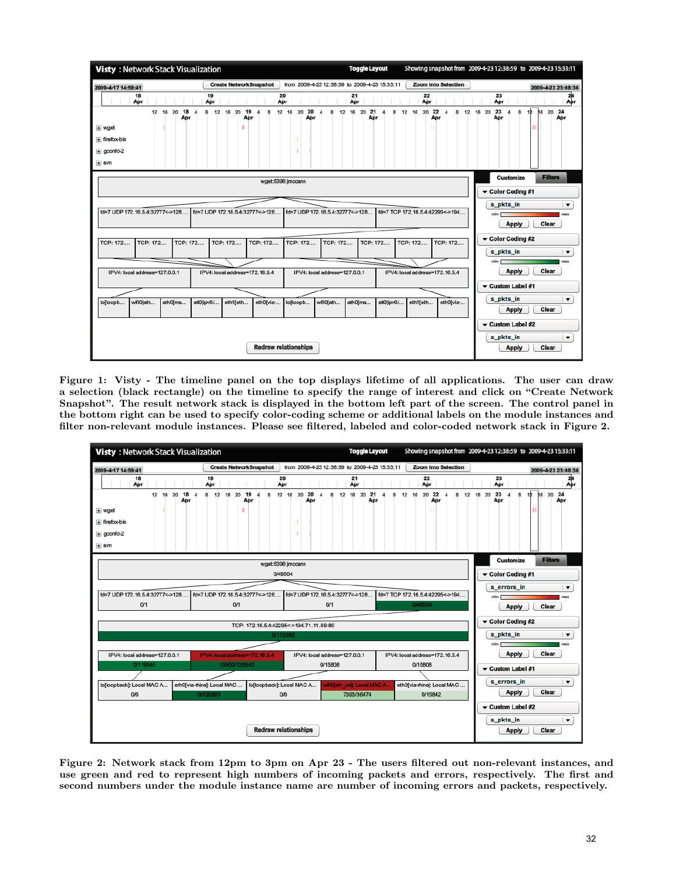

Figure 1: Visty - The timeline panel on the top displays lifetime of all applications. The user can draw a selection (black rectangle) on the timeline to specify the range of interest and click on "Create Network Snapshot". The result network stack is displayed in the bottom left part of the screen. The control panel in the bottom right can be used to specify color-coding scheme or additional labels on the module instances and filter non-relevant module instances. Please see filtered, labeled and color-coded network stack in Figure 2.



Figure 2: Network stack from 12pm to 3pm on Apr 23 - The users filtered out non-relevant instances, and use green and red to represent high numbers of incoming packets and errors, respectively. The first and second numbers under the module instance name are number of incoming errors and packets, respectively.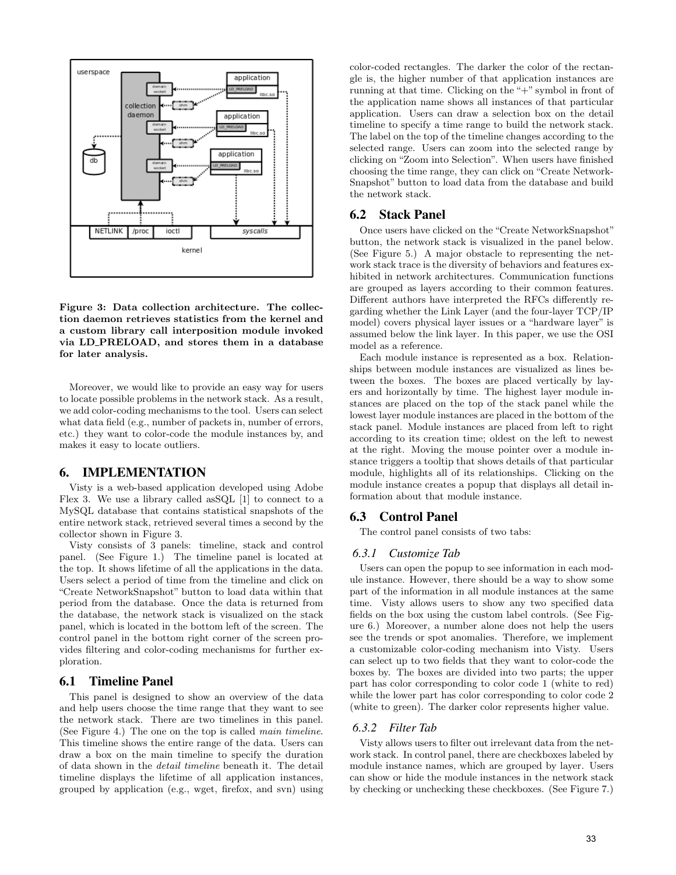

Figure 3: Data collection architecture. The collection daemon retrieves statistics from the kernel and a custom library call interposition module invoked via LD PRELOAD, and stores them in a database for later analysis.

Moreover, we would like to provide an easy way for users to locate possible problems in the network stack. As a result, we add color-coding mechanisms to the tool. Users can select what data field (e.g., number of packets in, number of errors, etc.) they want to color-code the module instances by, and makes it easy to locate outliers.

# 6. IMPLEMENTATION

Visty is a web-based application developed using Adobe Flex 3. We use a library called asSQL [1] to connect to a MySQL database that contains statistical snapshots of the entire network stack, retrieved several times a second by the collector shown in Figure 3.

Visty consists of 3 panels: timeline, stack and control panel. (See Figure 1.) The timeline panel is located at the top. It shows lifetime of all the applications in the data. Users select a period of time from the timeline and click on "Create NetworkSnapshot" button to load data within that period from the database. Once the data is returned from the database, the network stack is visualized on the stack panel, which is located in the bottom left of the screen. The control panel in the bottom right corner of the screen provides filtering and color-coding mechanisms for further exploration.

#### 6.1 Timeline Panel

This panel is designed to show an overview of the data and help users choose the time range that they want to see the network stack. There are two timelines in this panel. (See Figure 4.) The one on the top is called main timeline. This timeline shows the entire range of the data. Users can draw a box on the main timeline to specify the duration of data shown in the detail timeline beneath it. The detail timeline displays the lifetime of all application instances, grouped by application (e.g., wget, firefox, and svn) using color-coded rectangles. The darker the color of the rectangle is, the higher number of that application instances are running at that time. Clicking on the "+" symbol in front of the application name shows all instances of that particular application. Users can draw a selection box on the detail timeline to specify a time range to build the network stack. The label on the top of the timeline changes according to the selected range. Users can zoom into the selected range by clicking on "Zoom into Selection". When users have finished choosing the time range, they can click on "Create Network-Snapshot" button to load data from the database and build the network stack.

#### 6.2 Stack Panel

Once users have clicked on the "Create NetworkSnapshot" button, the network stack is visualized in the panel below. (See Figure 5.) A major obstacle to representing the network stack trace is the diversity of behaviors and features exhibited in network architectures. Communication functions are grouped as layers according to their common features. Different authors have interpreted the RFCs differently regarding whether the Link Layer (and the four-layer TCP/IP model) covers physical layer issues or a "hardware layer" is assumed below the link layer. In this paper, we use the OSI model as a reference.

Each module instance is represented as a box. Relationships between module instances are visualized as lines between the boxes. The boxes are placed vertically by layers and horizontally by time. The highest layer module instances are placed on the top of the stack panel while the lowest layer module instances are placed in the bottom of the stack panel. Module instances are placed from left to right according to its creation time; oldest on the left to newest at the right. Moving the mouse pointer over a module instance triggers a tooltip that shows details of that particular module, highlights all of its relationships. Clicking on the module instance creates a popup that displays all detail information about that module instance.

#### 6.3 Control Panel

The control panel consists of two tabs:

#### *6.3.1 Customize Tab*

Users can open the popup to see information in each module instance. However, there should be a way to show some part of the information in all module instances at the same time. Visty allows users to show any two specified data fields on the box using the custom label controls. (See Figure 6.) Moreover, a number alone does not help the users see the trends or spot anomalies. Therefore, we implement a customizable color-coding mechanism into Visty. Users can select up to two fields that they want to color-code the boxes by. The boxes are divided into two parts; the upper part has color corresponding to color code 1 (white to red) while the lower part has color corresponding to color code 2 (white to green). The darker color represents higher value.

#### *6.3.2 Filter Tab*

Visty allows users to filter out irrelevant data from the network stack. In control panel, there are checkboxes labeled by module instance names, which are grouped by layer. Users can show or hide the module instances in the network stack by checking or unchecking these checkboxes. (See Figure 7.)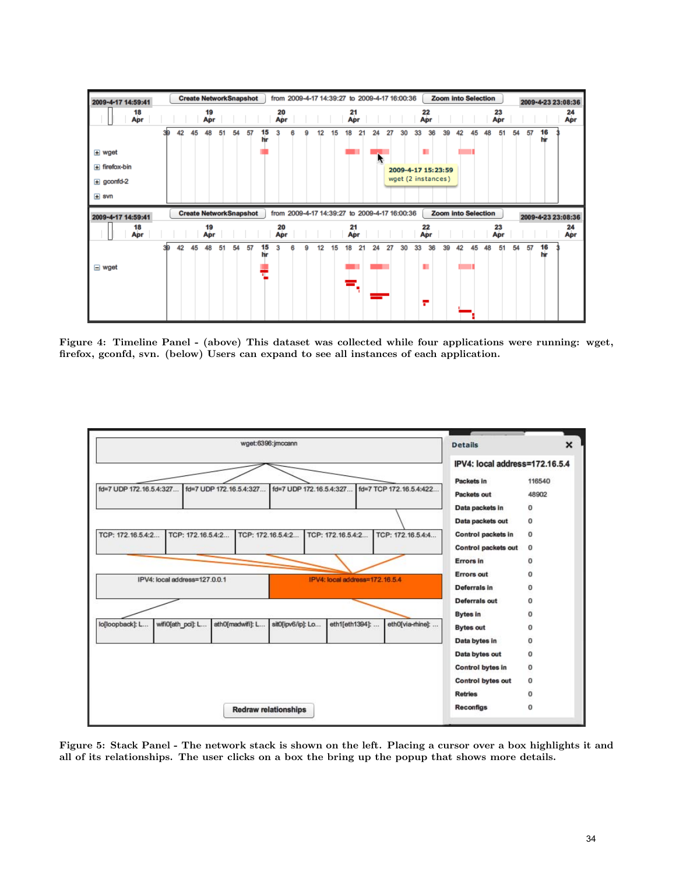

Figure 4: Timeline Panel - (above) This dataset was collected while four applications were running: wget, firefox, gconfd, svn. (below) Users can expand to see all instances of each application.



Figure 5: Stack Panel - The network stack is shown on the left. Placing a cursor over a box highlights it and all of its relationships. The user clicks on a box the bring up the popup that shows more details.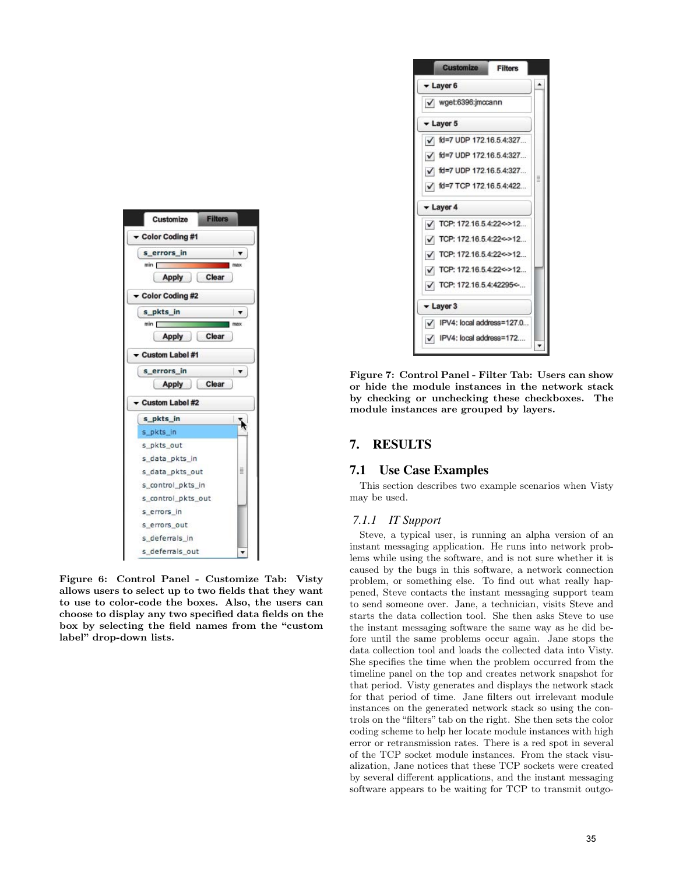

Figure 6: Control Panel - Customize Tab: Visty allows users to select up to two fields that they want to use to color-code the boxes. Also, the users can choose to display any two specified data fields on the box by selecting the field names from the "custom label" drop-down lists.



Figure 7: Control Panel - Filter Tab: Users can show or hide the module instances in the network stack by checking or unchecking these checkboxes. The module instances are grouped by layers.

# 7. RESULTS

# 7.1 Use Case Examples

This section describes two example scenarios when Visty may be used.

# *7.1.1 IT Support*

Steve, a typical user, is running an alpha version of an instant messaging application. He runs into network problems while using the software, and is not sure whether it is caused by the bugs in this software, a network connection problem, or something else. To find out what really happened, Steve contacts the instant messaging support team to send someone over. Jane, a technician, visits Steve and starts the data collection tool. She then asks Steve to use the instant messaging software the same way as he did before until the same problems occur again. Jane stops the data collection tool and loads the collected data into Visty. She specifies the time when the problem occurred from the timeline panel on the top and creates network snapshot for that period. Visty generates and displays the network stack for that period of time. Jane filters out irrelevant module instances on the generated network stack so using the controls on the "filters" tab on the right. She then sets the color coding scheme to help her locate module instances with high error or retransmission rates. There is a red spot in several of the TCP socket module instances. From the stack visualization, Jane notices that these TCP sockets were created by several different applications, and the instant messaging software appears to be waiting for TCP to transmit outgo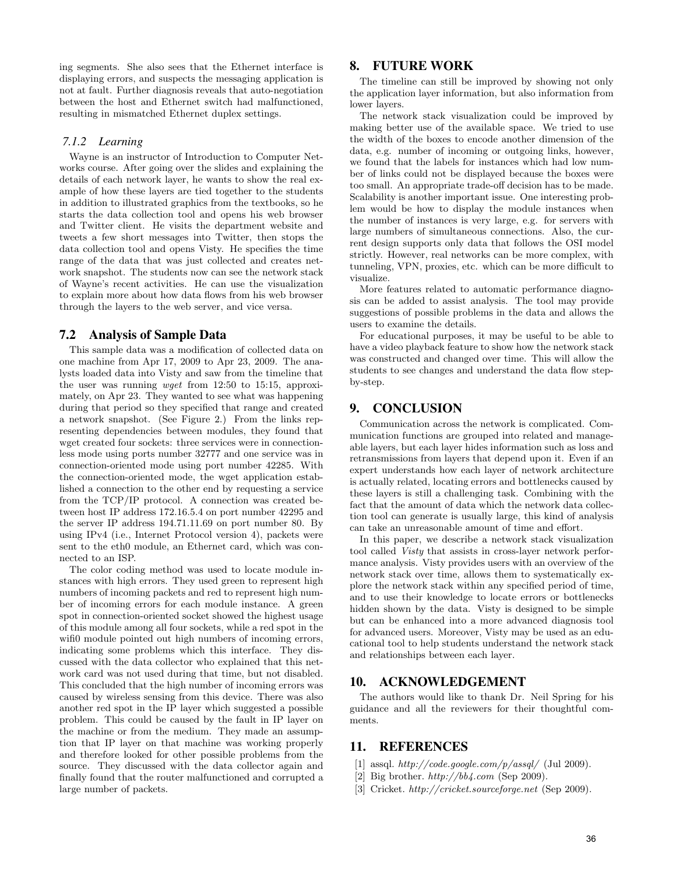ing segments. She also sees that the Ethernet interface is displaying errors, and suspects the messaging application is not at fault. Further diagnosis reveals that auto-negotiation between the host and Ethernet switch had malfunctioned, resulting in mismatched Ethernet duplex settings.

#### *7.1.2 Learning*

Wayne is an instructor of Introduction to Computer Networks course. After going over the slides and explaining the details of each network layer, he wants to show the real example of how these layers are tied together to the students in addition to illustrated graphics from the textbooks, so he starts the data collection tool and opens his web browser and Twitter client. He visits the department website and tweets a few short messages into Twitter, then stops the data collection tool and opens Visty. He specifies the time range of the data that was just collected and creates network snapshot. The students now can see the network stack of Wayne's recent activities. He can use the visualization to explain more about how data flows from his web browser through the layers to the web server, and vice versa.

#### 7.2 Analysis of Sample Data

This sample data was a modification of collected data on one machine from Apr 17, 2009 to Apr 23, 2009. The analysts loaded data into Visty and saw from the timeline that the user was running wget from 12:50 to 15:15, approximately, on Apr 23. They wanted to see what was happening during that period so they specified that range and created a network snapshot. (See Figure 2.) From the links representing dependencies between modules, they found that wget created four sockets: three services were in connectionless mode using ports number 32777 and one service was in connection-oriented mode using port number 42285. With the connection-oriented mode, the wget application established a connection to the other end by requesting a service from the TCP/IP protocol. A connection was created between host IP address 172.16.5.4 on port number 42295 and the server IP address 194.71.11.69 on port number 80. By using IPv4 (i.e., Internet Protocol version 4), packets were sent to the eth0 module, an Ethernet card, which was connected to an ISP.

The color coding method was used to locate module instances with high errors. They used green to represent high numbers of incoming packets and red to represent high number of incoming errors for each module instance. A green spot in connection-oriented socket showed the highest usage of this module among all four sockets, while a red spot in the wifi0 module pointed out high numbers of incoming errors, indicating some problems which this interface. They discussed with the data collector who explained that this network card was not used during that time, but not disabled. This concluded that the high number of incoming errors was caused by wireless sensing from this device. There was also another red spot in the IP layer which suggested a possible problem. This could be caused by the fault in IP layer on the machine or from the medium. They made an assumption that IP layer on that machine was working properly and therefore looked for other possible problems from the source. They discussed with the data collector again and finally found that the router malfunctioned and corrupted a large number of packets.

## 8. FUTURE WORK

The timeline can still be improved by showing not only the application layer information, but also information from lower layers.

The network stack visualization could be improved by making better use of the available space. We tried to use the width of the boxes to encode another dimension of the data, e.g. number of incoming or outgoing links, however, we found that the labels for instances which had low number of links could not be displayed because the boxes were too small. An appropriate trade-off decision has to be made. Scalability is another important issue. One interesting problem would be how to display the module instances when the number of instances is very large, e.g. for servers with large numbers of simultaneous connections. Also, the current design supports only data that follows the OSI model strictly. However, real networks can be more complex, with tunneling, VPN, proxies, etc. which can be more difficult to visualize.

More features related to automatic performance diagnosis can be added to assist analysis. The tool may provide suggestions of possible problems in the data and allows the users to examine the details.

For educational purposes, it may be useful to be able to have a video playback feature to show how the network stack was constructed and changed over time. This will allow the students to see changes and understand the data flow stepby-step.

# 9. CONCLUSION

Communication across the network is complicated. Communication functions are grouped into related and manageable layers, but each layer hides information such as loss and retransmissions from layers that depend upon it. Even if an expert understands how each layer of network architecture is actually related, locating errors and bottlenecks caused by these layers is still a challenging task. Combining with the fact that the amount of data which the network data collection tool can generate is usually large, this kind of analysis can take an unreasonable amount of time and effort.

In this paper, we describe a network stack visualization tool called Visty that assists in cross-layer network performance analysis. Visty provides users with an overview of the network stack over time, allows them to systematically explore the network stack within any specified period of time, and to use their knowledge to locate errors or bottlenecks hidden shown by the data. Visty is designed to be simple but can be enhanced into a more advanced diagnosis tool for advanced users. Moreover, Visty may be used as an educational tool to help students understand the network stack and relationships between each layer.

#### 10. ACKNOWLEDGEMENT

The authors would like to thank Dr. Neil Spring for his guidance and all the reviewers for their thoughtful comments.

# 11. REFERENCES

- [1] assql.  $http://code.google.com/p/assql/$  (Jul 2009).
- [2] Big brother. http://bb4.com (Sep 2009).
- [3] Cricket. http://cricket.sourceforge.net (Sep 2009).